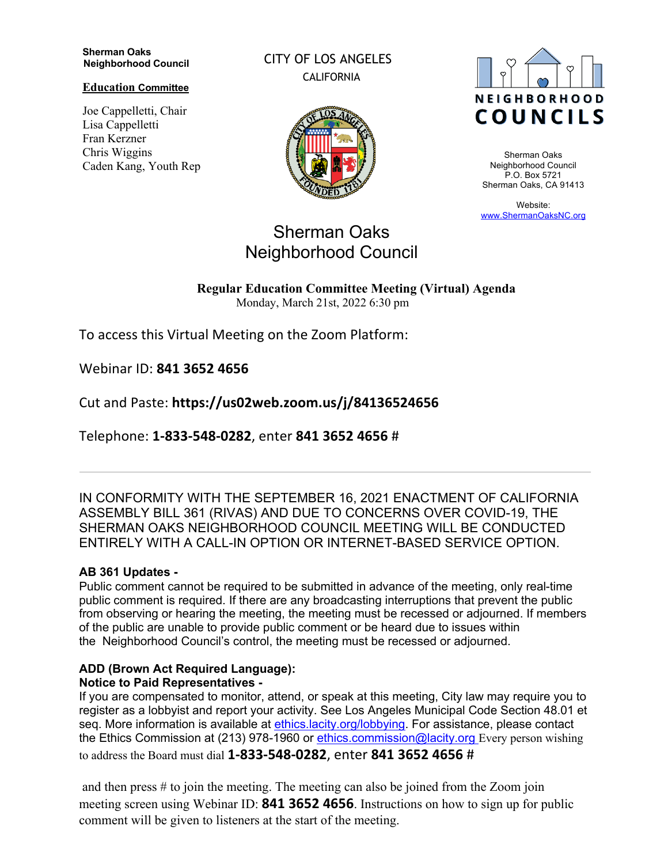#### **Sherman Oaks Neighborhood Council**

**Education Committee**

Joe Cappelletti, Chair Lisa Cappelletti Fran Kerzner Chris Wiggins Caden Kang, Youth Rep CITY OF LOS ANGELES CALIFORNIA





Sherman Oaks Neighborhood Council P.O. Box 5721 Sherman Oaks, CA 91413

Website: www.ShermanOaksNC.org

# Sherman Oaks Neighborhood Council

**Regular Education Committee Meeting (Virtual) Agenda**  Monday, March 21st, 2022 6:30 pm

To access this Virtual Meeting on the Zoom Platform:

Webinar ID: **841 3652 4656** 

Cut and Paste: **https://us02web.zoom.us/j/84136524656** 

Telephone: **1-833-548-0282**, enter **841 3652 4656** #

IN CONFORMITY WITH THE SEPTEMBER 16, 2021 ENACTMENT OF CALIFORNIA ASSEMBLY BILL 361 (RIVAS) AND DUE TO CONCERNS OVER COVID-19, THE SHERMAN OAKS NEIGHBORHOOD COUNCIL MEETING WILL BE CONDUCTED ENTIRELY WITH A CALL-IN OPTION OR INTERNET-BASED SERVICE OPTION.

## **AB 361 Updates -**

Public comment cannot be required to be submitted in advance of the meeting, only real-time public comment is required. If there are any broadcasting interruptions that prevent the public from observing or hearing the meeting, the meeting must be recessed or adjourned. If members of the public are unable to provide public comment or be heard due to issues within the Neighborhood Council's control, the meeting must be recessed or adjourned.

## **ADD (Brown Act Required Language):**

## **Notice to Paid Representatives -**

If you are compensated to monitor, attend, or speak at this meeting, City law may require you to register as a lobbyist and report your activity. See Los Angeles Municipal Code Section 48.01 et seq. More information is available at ethics.lacity.org/lobbying. For assistance, please contact the Ethics Commission at (213) 978-1960 or ethics.commission@lacity.org Every person wishing to address the Board must dial **1-833-548-0282**, enter **841 3652 4656** #

and then press # to join the meeting. The meeting can also be joined from the Zoom join meeting screen using Webinar ID: **841 3652 4656**. Instructions on how to sign up for public comment will be given to listeners at the start of the meeting.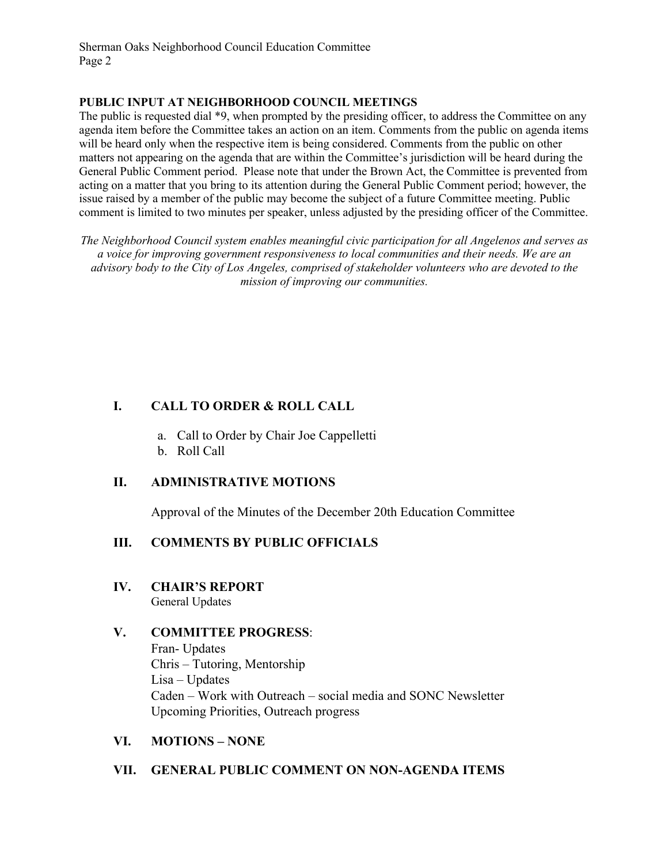Sherman Oaks Neighborhood Council Education Committee Page 2

#### **PUBLIC INPUT AT NEIGHBORHOOD COUNCIL MEETINGS**

The public is requested dial \*9, when prompted by the presiding officer, to address the Committee on any agenda item before the Committee takes an action on an item. Comments from the public on agenda items will be heard only when the respective item is being considered. Comments from the public on other matters not appearing on the agenda that are within the Committee's jurisdiction will be heard during the General Public Comment period. Please note that under the Brown Act, the Committee is prevented from acting on a matter that you bring to its attention during the General Public Comment period; however, the issue raised by a member of the public may become the subject of a future Committee meeting. Public comment is limited to two minutes per speaker, unless adjusted by the presiding officer of the Committee.

*The Neighborhood Council system enables meaningful civic participation for all Angelenos and serves as a voice for improving government responsiveness to local communities and their needs. We are an advisory body to the City of Los Angeles, comprised of stakeholder volunteers who are devoted to the mission of improving our communities.*

## **I. CALL TO ORDER & ROLL CALL**

- a. Call to Order by Chair Joe Cappelletti
- b. Roll Call

## **II. ADMINISTRATIVE MOTIONS**

Approval of the Minutes of the December 20th Education Committee

### **III. COMMENTS BY PUBLIC OFFICIALS**

**IV. CHAIR'S REPORT** General Updates

### **V. COMMITTEE PROGRESS**:

Fran- Updates Chris – Tutoring, Mentorship Lisa – Updates Caden – Work with Outreach – social media and SONC Newsletter Upcoming Priorities, Outreach progress

### **VI. MOTIONS – NONE**

### **VII. GENERAL PUBLIC COMMENT ON NON-AGENDA ITEMS**